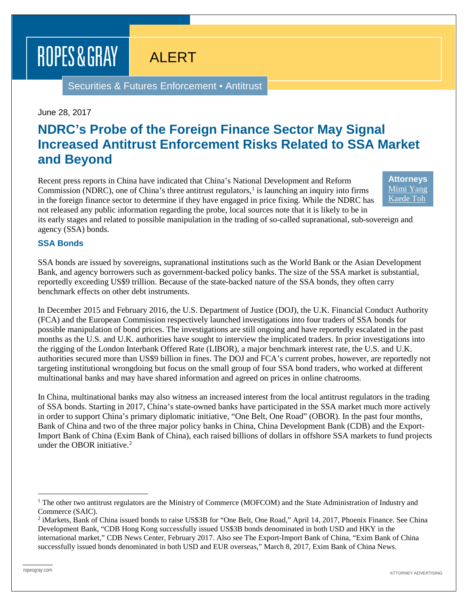# ROPES & GRAY

## ALERT

Securities & Futures Enforcement ▪ Antitrust

#### June 28, 2017

### **NDRC's Probe of the Foreign Finance Sector May Signal Increased Antitrust Enforcement Risks Related to SSA Market and Beyond**

Recent press reports in China have indicated that China's National Development and Reform Commission (NDRC), one of China's three antitrust regulators, $\frac{1}{1}$  $\frac{1}{1}$  $\frac{1}{1}$  is launching an inquiry into firms in the foreign finance sector to determine if they have engaged in price fixing. While the NDRC has not released any public information regarding the probe, local sources note that it is likely to be in

**Attorneys** [Mimi Yang](https://www.ropesgray.com/biographies/y/mimi-yang.aspx) [Kaede Toh](https://www.ropesgray.com/biographies/t/kaede-toh.aspx)

its early stages and related to possible manipulation in the trading of so-called supranational, sub-sovereign and agency (SSA) bonds.

### **SSA Bonds**

SSA bonds are issued by sovereigns, supranational institutions such as the World Bank or the Asian Development Bank, and agency borrowers such as government-backed policy banks. The size of the SSA market is substantial, reportedly exceeding US\$9 trillion. Because of the state-backed nature of the SSA bonds, they often carry benchmark effects on other debt instruments.

In December 2015 and February 2016, the U.S. Department of Justice (DOJ), the U.K. Financial Conduct Authority (FCA) and the European Commission respectively launched investigations into four traders of SSA bonds for possible manipulation of bond prices. The investigations are still ongoing and have reportedly escalated in the past months as the U.S. and U.K. authorities have sought to interview the implicated traders. In prior investigations into the rigging of the London Interbank Offered Rate (LIBOR), a major benchmark interest rate, the U.S. and U.K. authorities secured more than US\$9 billion in fines. The DOJ and FCA's current probes, however, are reportedly not targeting institutional wrongdoing but focus on the small group of four SSA bond traders, who worked at different multinational banks and may have shared information and agreed on prices in online chatrooms.

In China, multinational banks may also witness an increased interest from the local antitrust regulators in the trading of SSA bonds. Starting in 2017, China's state-owned banks have participated in the SSA market much more actively in order to support China's primary diplomatic initiative, "One Belt, One Road" (OBOR). In the past four months, Bank of China and two of the three major policy banks in China, China Development Bank (CDB) and the Export-Import Bank of China (Exim Bank of China), each raised billions of dollars in offshore SSA markets to fund projects under the OBOR initiative.[2](#page-0-1)

<span id="page-0-0"></span><sup>&</sup>lt;sup>1</sup> The other two antitrust regulators are the Ministry of Commerce (MOFCOM) and the State Administration of Industry and Commerce (SAIC).

<span id="page-0-1"></span><sup>&</sup>lt;sup>2</sup> iMarkets, Bank of China issued bonds to raise US\$3B for "One Belt, One Road," April 14, 2017, Phoenix Finance. See China Development Bank, "CDB Hong Kong successfully issued US\$3B bonds denominated in both USD and HKY in the international market," CDB News Center, February 2017. Also see The Export-Import Bank of China, "Exim Bank of China successfully issued bonds denominated in both USD and EUR overseas," March 8, 2017, Exim Bank of China News.